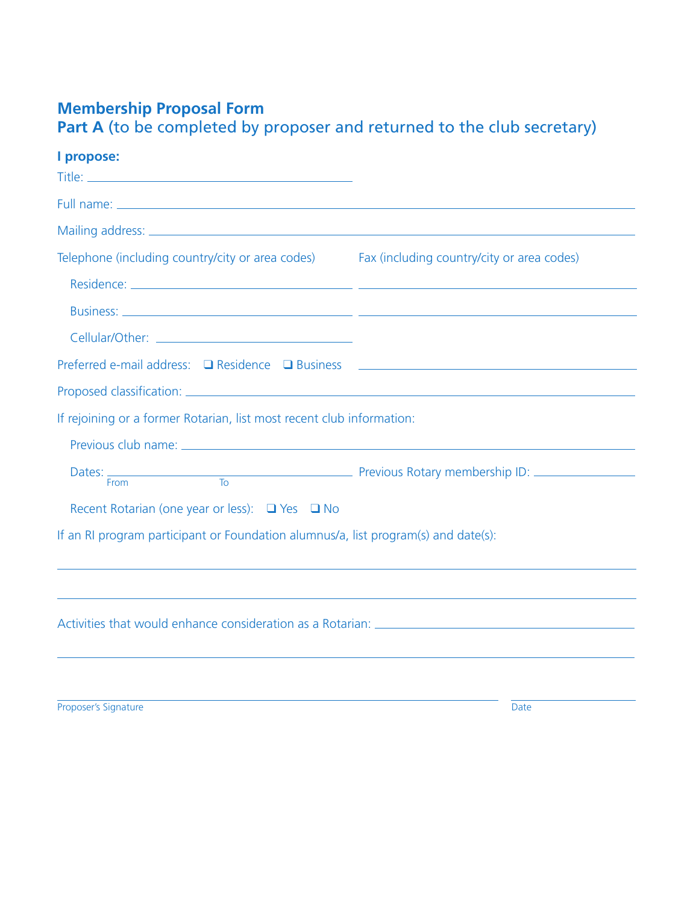## **Membership Proposal Form**

Part A (to be completed by proposer and returned to the club secretary)

## **I propose:**

| Telephone (including country/city or area codes) Fax (including country/city or area codes)   |  |
|-----------------------------------------------------------------------------------------------|--|
|                                                                                               |  |
|                                                                                               |  |
|                                                                                               |  |
| Preferred e-mail address: □ Residence □ Business <u>____________________________</u> ________ |  |
|                                                                                               |  |
| If rejoining or a former Rotarian, list most recent club information:                         |  |
|                                                                                               |  |
|                                                                                               |  |
| Recent Rotarian (one year or less): $\Box$ Yes $\Box$ No                                      |  |
| If an RI program participant or Foundation alumnus/a, list program(s) and date(s):            |  |
|                                                                                               |  |

Proposer's Signature Date